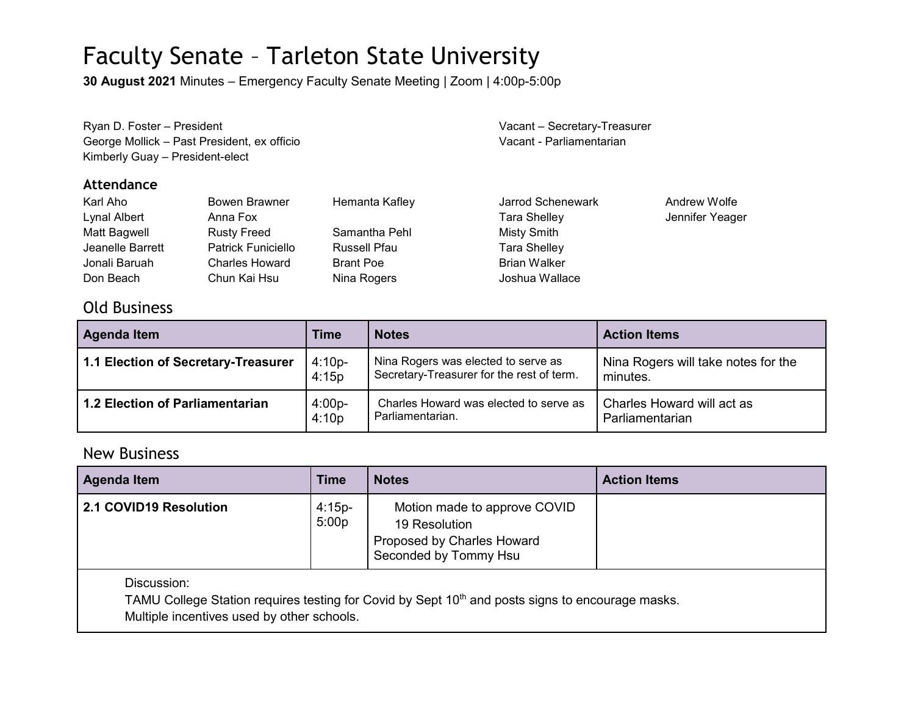## Faculty Senate – Tarleton State University

**30 August 2021** Minutes – Emergency Faculty Senate Meeting | Zoom | 4:00p-5:00p

| Ryan D. Foster - President                  | Vacant - Secretary-Treasurer |
|---------------------------------------------|------------------------------|
| George Mollick – Past President, ex officio | Vacant - Parliamentarian     |
| Kimberly Guay - President-elect             |                              |

#### **Attendance**

| Karl Aho         | Bowen Brawner             | Hemanta Kafley   | Jarrod Schenewark   | Andrew Wolfe    |
|------------------|---------------------------|------------------|---------------------|-----------------|
| Lynal Albert     | Anna Fox                  |                  | <b>Tara Shelley</b> | Jennifer Yeager |
| Matt Bagwell     | <b>Rusty Freed</b>        | Samantha Pehl    | Misty Smith         |                 |
| Jeanelle Barrett | <b>Patrick Funiciello</b> | Russell Pfau     | <b>Tara Shelley</b> |                 |
| Jonali Baruah    | <b>Charles Howard</b>     | <b>Brant Poe</b> | <b>Brian Walker</b> |                 |
| Don Beach        | Chun Kai Hsu              | Nina Rogers      | Joshua Wallace      |                 |

### Old Business

| <b>Agenda Item</b>                  | <b>Time</b> | <b>Notes</b>                              | <b>Action Items</b>                 |
|-------------------------------------|-------------|-------------------------------------------|-------------------------------------|
| 1.1 Election of Secretary-Treasurer | $4:10p-$    | Nina Rogers was elected to serve as       | Nina Rogers will take notes for the |
|                                     | 4:15p       | Secretary-Treasurer for the rest of term. | minutes.                            |
| 1.2 Election of Parliamentarian     | $4:00p-$    | Charles Howard was elected to serve as    | Charles Howard will act as          |
|                                     | 4:10p       | Parliamentarian.                          | Parliamentarian                     |

### New Business

| <b>Agenda Item</b>                                                                                                          | <b>Time</b>       | <b>Notes</b>                                                                                         | <b>Action Items</b> |
|-----------------------------------------------------------------------------------------------------------------------------|-------------------|------------------------------------------------------------------------------------------------------|---------------------|
| 2.1 COVID19 Resolution                                                                                                      | $4:15p-$<br>5:00p | Motion made to approve COVID<br>19 Resolution<br>Proposed by Charles Howard<br>Seconded by Tommy Hsu |                     |
| Discussion:<br>TAMU College Station requires testing for Covid by Sept 10 <sup>th</sup> and posts signs to encourage masks. |                   |                                                                                                      |                     |

Multiple incentives used by other schools.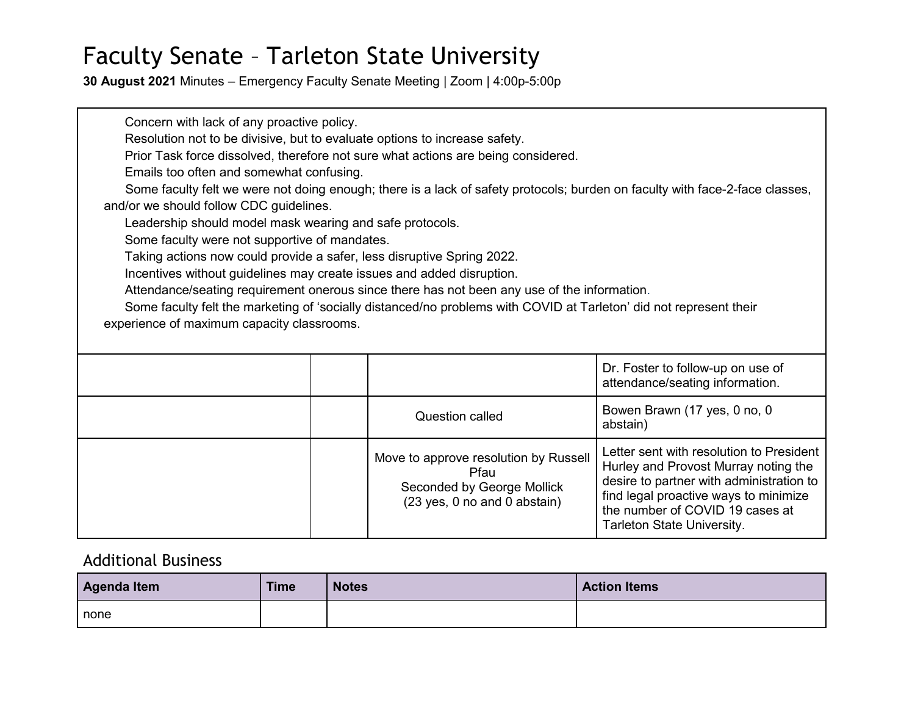## Faculty Senate – Tarleton State University

**30 August 2021** Minutes – Emergency Faculty Senate Meeting | Zoom | 4:00p-5:00p

Concern with lack of any proactive policy. Resolution not to be divisive, but to evaluate options to increase safety. Prior Task force dissolved, therefore not sure what actions are being considered. Emails too often and somewhat confusing. Some faculty felt we were not doing enough; there is a lack of safety protocols; burden on faculty with face-2-face classes, and/or we should follow CDC guidelines. Leadership should model mask wearing and safe protocols. Some faculty were not supportive of mandates. Taking actions now could provide a safer, less disruptive Spring 2022. Incentives without guidelines may create issues and added disruption. Attendance/seating requirement onerous since there has not been any use of the information. Some faculty felt the marketing of 'socially distanced/no problems with COVID at Tarleton' did not represent their experience of maximum capacity classrooms. Dr. Foster to follow-up on use of

|  |                                                                                                             | attendance/seating information.                                                                                                                                                                                                        |
|--|-------------------------------------------------------------------------------------------------------------|----------------------------------------------------------------------------------------------------------------------------------------------------------------------------------------------------------------------------------------|
|  | <b>Question called</b>                                                                                      | Bowen Brawn (17 yes, 0 no, 0<br>abstain)                                                                                                                                                                                               |
|  | Move to approve resolution by Russell<br>Pfau<br>Seconded by George Mollick<br>(23 yes, 0 no and 0 abstain) | Letter sent with resolution to President<br>Hurley and Provost Murray noting the<br>desire to partner with administration to<br>find legal proactive ways to minimize<br>the number of COVID 19 cases at<br>Tarleton State University. |

### Additional Business

| Agenda Item | <b>Time</b> | <b>Notes</b> | <b>Action Items</b> |
|-------------|-------------|--------------|---------------------|
| none        |             |              |                     |